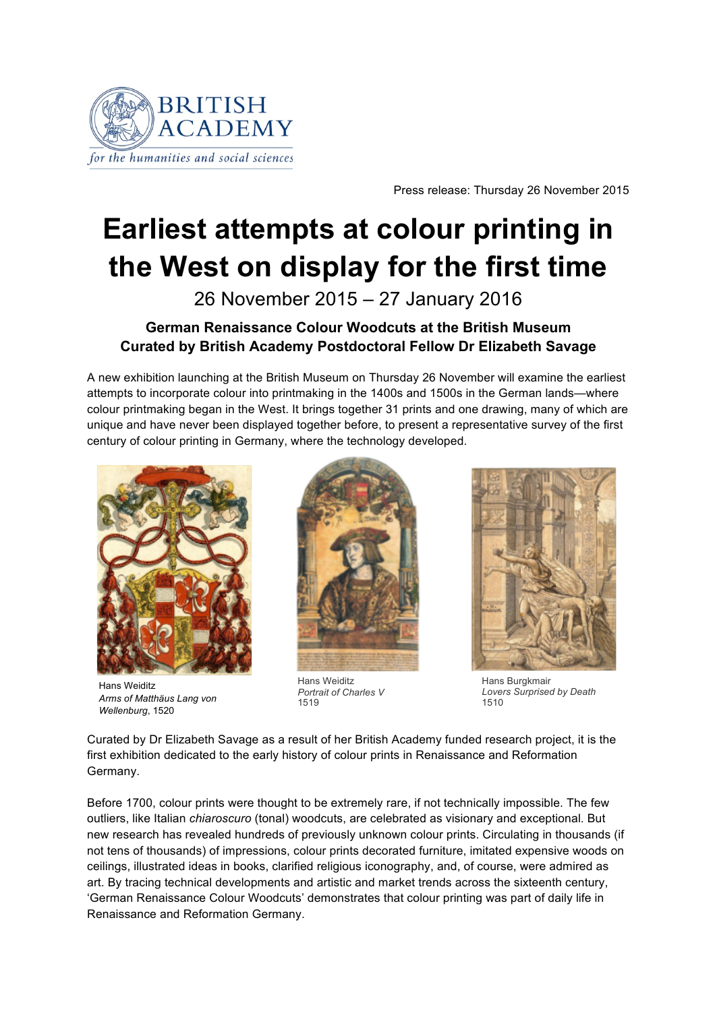

Press release: Thursday 26 November 2015

# **Earliest attempts at colour printing in the West on display for the first time**

26 November 2015 – 27 January 2016

## **German Renaissance Colour Woodcuts at the British Museum Curated by British Academy Postdoctoral Fellow Dr Elizabeth Savage**

A new exhibition launching at the British Museum on Thursday 26 November will examine the earliest attempts to incorporate colour into printmaking in the 1400s and 1500s in the German lands—where colour printmaking began in the West. It brings together 31 prints and one drawing, many of which are unique and have never been displayed together before, to present a representative survey of the first century of colour printing in Germany, where the technology developed.



Hans Weiditz *Arms of Matthäus Lang von Wellenburg*, 1520



Hans Weiditz *Portrait of Charles V* 1519



Hans Burgkmair *Lovers Surprised by Death* 1510

Curated by Dr Elizabeth Savage as a result of her British Academy funded research project, it is the first exhibition dedicated to the early history of colour prints in Renaissance and Reformation Germany.

Before 1700, colour prints were thought to be extremely rare, if not technically impossible. The few outliers, like Italian *chiaroscuro* (tonal) woodcuts, are celebrated as visionary and exceptional. But new research has revealed hundreds of previously unknown colour prints. Circulating in thousands (if not tens of thousands) of impressions, colour prints decorated furniture, imitated expensive woods on ceilings, illustrated ideas in books, clarified religious iconography, and, of course, were admired as art. By tracing technical developments and artistic and market trends across the sixteenth century, 'German Renaissance Colour Woodcuts' demonstrates that colour printing was part of daily life in Renaissance and Reformation Germany.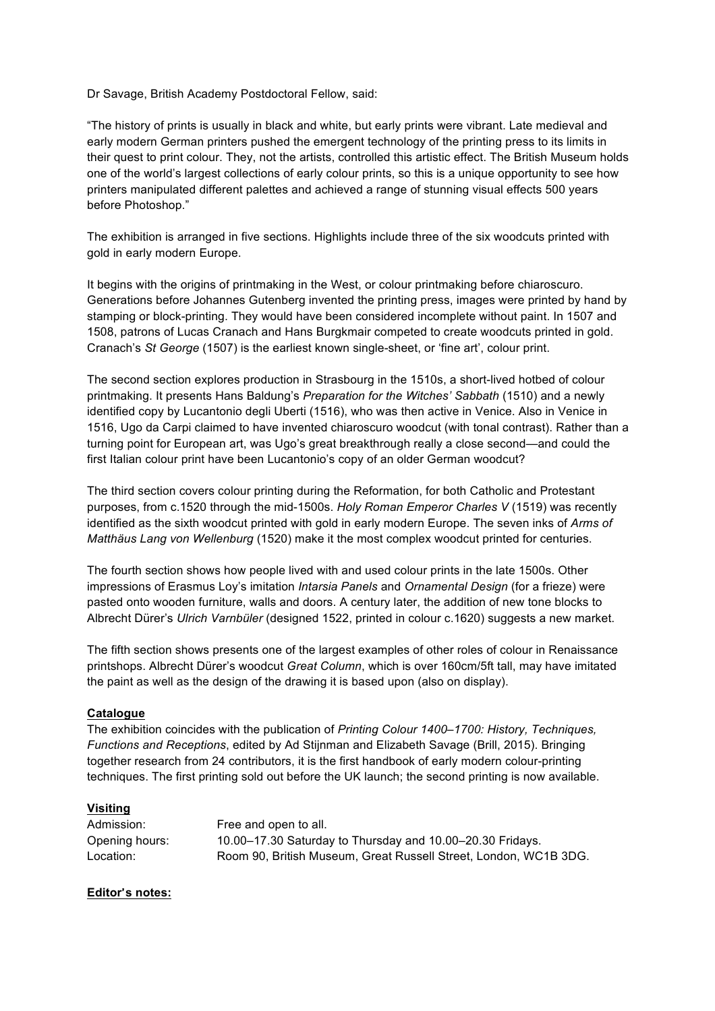Dr Savage, British Academy Postdoctoral Fellow, said:

"The history of prints is usually in black and white, but early prints were vibrant. Late medieval and early modern German printers pushed the emergent technology of the printing press to its limits in their quest to print colour. They, not the artists, controlled this artistic effect. The British Museum holds one of the world's largest collections of early colour prints, so this is a unique opportunity to see how printers manipulated different palettes and achieved a range of stunning visual effects 500 years before Photoshop."

The exhibition is arranged in five sections. Highlights include three of the six woodcuts printed with gold in early modern Europe.

It begins with the origins of printmaking in the West, or colour printmaking before chiaroscuro. Generations before Johannes Gutenberg invented the printing press, images were printed by hand by stamping or block-printing. They would have been considered incomplete without paint. In 1507 and 1508, patrons of Lucas Cranach and Hans Burgkmair competed to create woodcuts printed in gold. Cranach's *St George* (1507) is the earliest known single-sheet, or 'fine art', colour print.

The second section explores production in Strasbourg in the 1510s, a short-lived hotbed of colour printmaking. It presents Hans Baldung's *Preparation for the Witches' Sabbath* (1510) and a newly identified copy by Lucantonio degli Uberti (1516), who was then active in Venice. Also in Venice in 1516, Ugo da Carpi claimed to have invented chiaroscuro woodcut (with tonal contrast). Rather than a turning point for European art, was Ugo's great breakthrough really a close second—and could the first Italian colour print have been Lucantonio's copy of an older German woodcut?

The third section covers colour printing during the Reformation, for both Catholic and Protestant purposes, from c.1520 through the mid-1500s. *Holy Roman Emperor Charles V* (1519) was recently identified as the sixth woodcut printed with gold in early modern Europe. The seven inks of *Arms of Matthäus Lang von Wellenburg* (1520) make it the most complex woodcut printed for centuries.

The fourth section shows how people lived with and used colour prints in the late 1500s. Other impressions of Erasmus Loy's imitation *Intarsia Panels* and *Ornamental Design* (for a frieze) were pasted onto wooden furniture, walls and doors. A century later, the addition of new tone blocks to Albrecht Dürer's *Ulrich Varnbüler* (designed 1522, printed in colour c.1620) suggests a new market.

The fifth section shows presents one of the largest examples of other roles of colour in Renaissance printshops. Albrecht Dürer's woodcut *Great Column*, which is over 160cm/5ft tall, may have imitated the paint as well as the design of the drawing it is based upon (also on display).

### **Catalogue**

The exhibition coincides with the publication of *Printing Colour 1400–1700: History, Techniques, Functions and Receptions*, edited by Ad Stijnman and Elizabeth Savage (Brill, 2015). Bringing together research from 24 contributors, it is the first handbook of early modern colour-printing techniques. The first printing sold out before the UK launch; the second printing is now available.

### **Visiting**

| Admission:     | Free and open to all.                                            |
|----------------|------------------------------------------------------------------|
| Opening hours: | 10.00–17.30 Saturday to Thursday and 10.00–20.30 Fridays.        |
| Location:      | Room 90, British Museum, Great Russell Street, London, WC1B 3DG. |

### **Editor**'**s notes:**